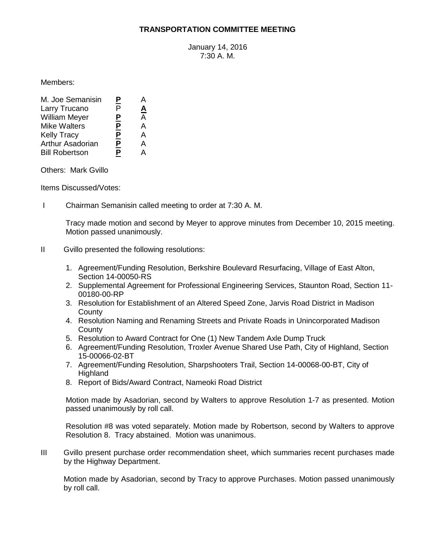## **TRANSPORTATION COMMITTEE MEETING**

January 14, 2016 7:30 A. M.

## Members:

| <u>P</u> | А        |
|----------|----------|
| P        | <u>A</u> |
| Ρ        | А        |
| Р        | А        |
| Ρ        | А        |
| Ρ        | А        |
| Р        | Д        |
|          |          |

Others: Mark Gvillo

Items Discussed/Votes:

I Chairman Semanisin called meeting to order at 7:30 A. M.

Tracy made motion and second by Meyer to approve minutes from December 10, 2015 meeting. Motion passed unanimously.

- II Gvillo presented the following resolutions:
	- 1. Agreement/Funding Resolution, Berkshire Boulevard Resurfacing, Village of East Alton, Section 14-00050-RS
	- 2. Supplemental Agreement for Professional Engineering Services, Staunton Road, Section 11- 00180-00-RP
	- 3. Resolution for Establishment of an Altered Speed Zone, Jarvis Road District in Madison **County**
	- 4. Resolution Naming and Renaming Streets and Private Roads in Unincorporated Madison **County**
	- 5. Resolution to Award Contract for One (1) New Tandem Axle Dump Truck
	- 6. Agreement/Funding Resolution, Troxler Avenue Shared Use Path, City of Highland, Section 15-00066-02-BT
	- 7. Agreement/Funding Resolution, Sharpshooters Trail, Section 14-00068-00-BT, City of **Highland**
	- 8. Report of Bids/Award Contract, Nameoki Road District

Motion made by Asadorian, second by Walters to approve Resolution 1-7 as presented. Motion passed unanimously by roll call.

Resolution #8 was voted separately. Motion made by Robertson, second by Walters to approve Resolution 8. Tracy abstained. Motion was unanimous.

III Gvillo present purchase order recommendation sheet, which summaries recent purchases made by the Highway Department.

Motion made by Asadorian, second by Tracy to approve Purchases. Motion passed unanimously by roll call.